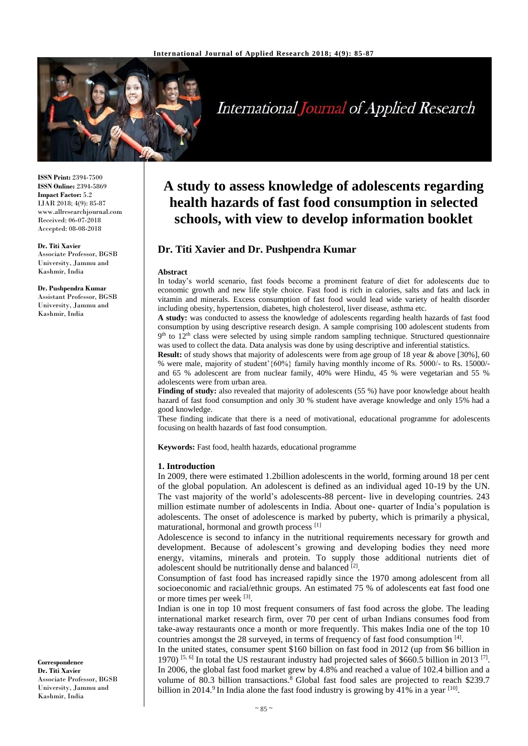

# **International Journal of Applied Research**

**ISSN Print:** 2394-7500 **ISSN Online:** 2394-5869 **Impact Factor:** 5.2 IJAR 2018; 4(9): 85-87 www.allresearchjournal.com Received: 06-07-2018 Accepted: 08-08-2018

#### **Dr. Titi Xavier**

Associate Professor, BGSB University, Jammu and Kashmir, India

#### **Dr. Pushpendra Kumar**

Assistant Professor, BGSB University, Jammu and Kashmir, India

#### **Correspondence Dr. Titi Xavier** Associate Professor, BGSB University, Jammu and Kashmir, India

## **A study to assess knowledge of adolescents regarding health hazards of fast food consumption in selected schools, with view to develop information booklet**

## **Dr. Titi Xavier and Dr. Pushpendra Kumar**

#### **Abstract**

In today's world scenario, fast foods become a prominent feature of diet for adolescents due to economic growth and new life style choice. Fast food is rich in calories, salts and fats and lack in vitamin and minerals. Excess consumption of fast food would lead wide variety of health disorder including obesity, hypertension, diabetes, high cholesterol, liver disease, asthma etc.

**A study:** was conducted to assess the knowledge of adolescents regarding health hazards of fast food consumption by using descriptive research design. A sample comprising 100 adolescent students from 9<sup>th</sup> to 12<sup>th</sup> class were selected by using simple random sampling technique. Structured questionnaire was used to collect the data. Data analysis was done by using descriptive and inferential statistics.

**Result:** of study shows that majority of adolescents were from age group of 18 year & above [30%], 60 % were male, majority of student'{60%} family having monthly income of Rs. 5000/- to Rs. 15000/ and 65 % adolescent are from nuclear family, 40% were Hindu, 45 % were vegetarian and 55 % adolescents were from urban area.

**Finding of study:** also revealed that majority of adolescents (55 %) have poor knowledge about health hazard of fast food consumption and only 30 % student have average knowledge and only 15% had a good knowledge.

These finding indicate that there is a need of motivational, educational programme for adolescents focusing on health hazards of fast food consumption.

**Keywords:** Fast food, health hazards, educational programme

#### **1. Introduction**

In 2009, there were estimated 1.2billion adolescents in the world, forming around 18 per cent of the global population. An adolescent is defined as an individual aged 10-19 by the UN. The vast majority of the world's adolescents-88 percent- live in developing countries. 243 million estimate number of adolescents in India. About one- quarter of India's population is adolescents. The onset of adolescence is marked by puberty, which is primarily a physical, maturational, hormonal and growth process [1]

Adolescence is second to infancy in the nutritional requirements necessary for growth and development. Because of adolescent's growing and developing bodies they need more energy, vitamins, minerals and protein. To supply those additional nutrients diet of adolescent should be nutritionally dense and balanced [2].

Consumption of fast food has increased rapidly since the 1970 among adolescent from all socioeconomic and racial/ethnic groups. An estimated 75 % of adolescents eat fast food one or more times per week [3].

Indian is one in top 10 most frequent consumers of fast food across the globe. The leading international market research firm, over 70 per cent of urban Indians consumes food from take-away restaurants once a month or more frequently. This makes India one of the top 10 countries amongst the 28 surveyed, in terms of frequency of fast food consumption [4].

In the united states, consumer spent \$160 billion on fast food in 2012 (up from \$6 billion in 1970) [5, 6] In total the US restaurant industry had projected sales of \$660.5 billion in 2013 [7]. In 2006, the global fast food market grew by 4.8% and reached a value of 102.4 billion and a volume of 80.3 billion transactions.<sup>8</sup> Global fast food sales are projected to reach \$239.7 billion in 2014.<sup>9</sup> In India alone the fast food industry is growing by 41% in a year  $[10]$ .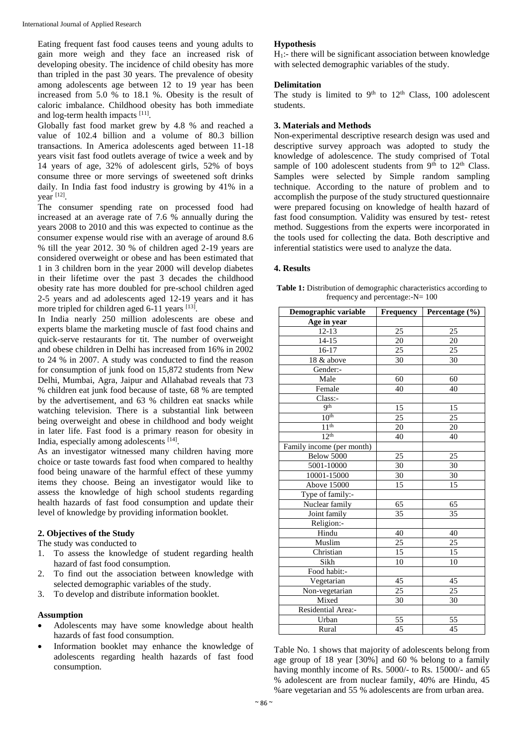Eating frequent fast food causes teens and young adults to gain more weigh and they face an increased risk of developing obesity. The incidence of child obesity has more than tripled in the past 30 years. The prevalence of obesity among adolescents age between 12 to 19 year has been increased from 5.0 % to 18.1 %. Obesity is the result of caloric imbalance. Childhood obesity has both immediate and log-term health impacts [11].

Globally fast food market grew by 4.8 % and reached a value of 102.4 billion and a volume of 80.3 billion transactions. In America adolescents aged between 11-18 years visit fast food outlets average of twice a week and by 14 years of age, 32% of adolescent girls, 52% of boys consume three or more servings of sweetened soft drinks daily. In India fast food industry is growing by 41% in a year [12] .

The consumer spending rate on processed food had increased at an average rate of 7.6 % annually during the years 2008 to 2010 and this was expected to continue as the consumer expense would rise with an average of around 8.6 % till the year 2012. 30 % of children aged 2-19 years are considered overweight or obese and has been estimated that 1 in 3 children born in the year 2000 will develop diabetes in their lifetime over the past 3 decades the childhood obesity rate has more doubled for pre-school children aged 2-5 years and ad adolescents aged 12-19 years and it has more tripled for children aged 6-11 years [13].

In India nearly 250 million adolescents are obese and experts blame the marketing muscle of fast food chains and quick-serve restaurants for tit. The number of overweight and obese children in Delhi has increased from 16% in 2002 to 24 % in 2007. A study was conducted to find the reason for consumption of junk food on 15,872 students from New Delhi, Mumbai, Agra, Jaipur and Allahabad reveals that 73 % children eat junk food because of taste, 68 % are tempted by the advertisement, and 63 % children eat snacks while watching television. There is a substantial link between being overweight and obese in childhood and body weight in later life. Fast food is a primary reason for obesity in India, especially among adolescents [14].

As an investigator witnessed many children having more choice or taste towards fast food when compared to healthy food being unaware of the harmful effect of these yummy items they choose. Being an investigator would like to assess the knowledge of high school students regarding health hazards of fast food consumption and update their level of knowledge by providing information booklet.

## **2. Objectives of the Study**

The study was conducted to

- 1. To assess the knowledge of student regarding health hazard of fast food consumption.
- 2. To find out the association between knowledge with selected demographic variables of the study.
- 3. To develop and distribute information booklet.

## **Assumption**

- Adolescents may have some knowledge about health hazards of fast food consumption.
- Information booklet may enhance the knowledge of adolescents regarding health hazards of fast food consumption.

#### **Hypothesis**

 $H<sub>1</sub>$ :- there will be significant association between knowledge with selected demographic variables of the study.

#### **Delimitation**

The study is limited to  $9<sup>th</sup>$  to  $12<sup>th</sup>$  Class, 100 adolescent students.

#### **3. Materials and Methods**

Non-experimental descriptive research design was used and descriptive survey approach was adopted to study the knowledge of adolescence. The study comprised of Total sample of 100 adolescent students from  $9<sup>th</sup>$  to 12<sup>th</sup> Class. Samples were selected by Simple random sampling technique. According to the nature of problem and to accomplish the purpose of the study structured questionnaire were prepared focusing on knowledge of health hazard of fast food consumption. Validity was ensured by test- retest method. Suggestions from the experts were incorporated in the tools used for collecting the data. Both descriptive and inferential statistics were used to analyze the data.

#### **4. Results**

| <b>Table 1:</b> Distribution of demographic characteristics according to |
|--------------------------------------------------------------------------|
| frequency and percentage:- $N = 100$                                     |

| Demographic variable      | Frequency       | Percentage (%)  |
|---------------------------|-----------------|-----------------|
| Age in year               |                 |                 |
| $12 - 13$                 | 25              | 25              |
| $14-15$                   | 20              | 20              |
| 16-17                     | 25              | 25              |
| 18 & above                | 30              | 30              |
| Gender:-                  |                 |                 |
| Male                      | 60              | 60              |
| Female                    | 40              | 40              |
| Class:-                   |                 |                 |
| <b>9th</b>                | 15              | 15              |
| 10 <sup>th</sup>          | $\overline{25}$ | 25              |
| 11 <sup>th</sup>          | 20              | 20              |
| 12 <sup>th</sup>          | 40              | 40              |
| Family income (per month) |                 |                 |
| Below 5000                | 25              | 25              |
| 5001-10000                | 30              | 30              |
| 10001-15000               | 30              | 30              |
| <b>Above 15000</b>        | 15              | 15              |
| Type of family:-          |                 |                 |
| Nuclear family            | 65              | 65              |
| Joint family              | $\overline{35}$ | $\overline{35}$ |
| Religion:-                |                 |                 |
| Hindu                     | 40              | 40              |
| Muslim                    | 25              | 25              |
| Christian                 | 15              | 15              |
| Sikh                      | 10              | 10              |
| Food habit:-              |                 |                 |
| Vegetarian                | 45              | 45              |
| Non-vegetarian            | 25              | 25              |
| Mixed                     | 30              | 30              |
| Residential Area:-        |                 |                 |
| Urban                     | $\overline{55}$ | $\overline{55}$ |
| Rural                     | 45              | 45              |

Table No. 1 shows that majority of adolescents belong from age group of 18 year [30%] and 60 % belong to a family having monthly income of Rs. 5000/- to Rs. 15000/- and 65 % adolescent are from nuclear family, 40% are Hindu, 45 %are vegetarian and 55 % adolescents are from urban area.